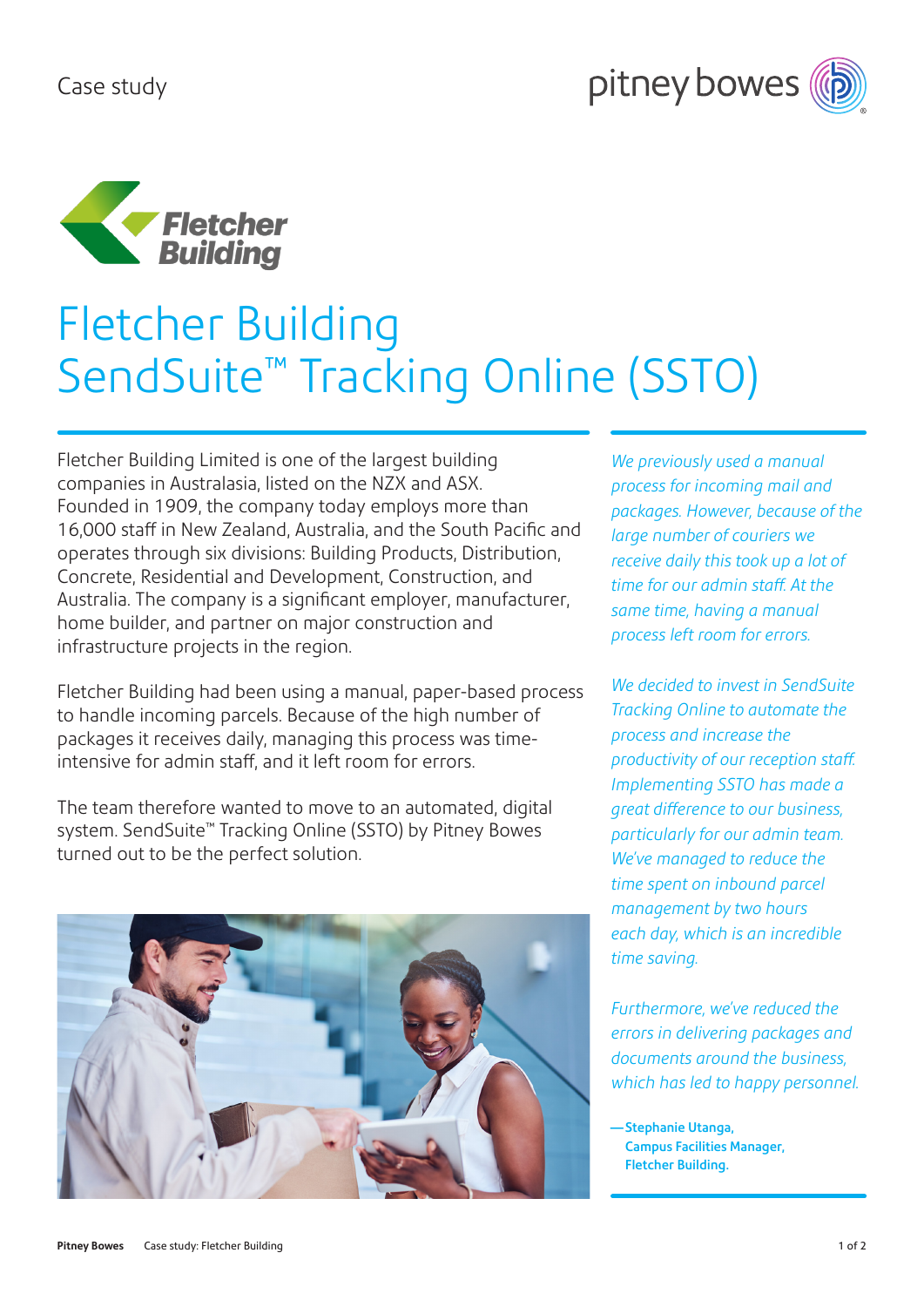



# Fletcher Building SendSuite™ Tracking Online (SSTO)

Fletcher Building Limited is one of the largest building companies in Australasia, listed on the NZX and ASX. Founded in 1909, the company today employs more than 16,000 staff in New Zealand, Australia, and the South Pacific and operates through six divisions: Building Products, Distribution, Concrete, Residential and Development, Construction, and Australia. The company is a significant employer, manufacturer, home builder, and partner on major construction and infrastructure projects in the region.

Fletcher Building had been using a manual, paper-based process to handle incoming parcels. Because of the high number of packages it receives daily, managing this process was timeintensive for admin staff, and it left room for errors.

The team therefore wanted to move to an automated, digital system. SendSuite™ Tracking Online (SSTO) by Pitney Bowes turned out to be the perfect solution.



*We previously used a manual process for incoming mail and packages. However, because of the large number of couriers we receive daily this took up a lot of time for our admin staff. At the same time, having a manual process left room for errors.*

*We decided to invest in SendSuite Tracking Online to automate the process and increase the productivity of our reception staff. Implementing SSTO has made a great difference to our business, particularly for our admin team. We've managed to reduce the time spent on inbound parcel management by two hours each day, which is an incredible time saving.*

*Furthermore, we've reduced the errors in delivering packages and documents around the business, which has led to happy personnel.*

— Stephanie Utanga, Campus Facilities Manager, Fletcher Building.